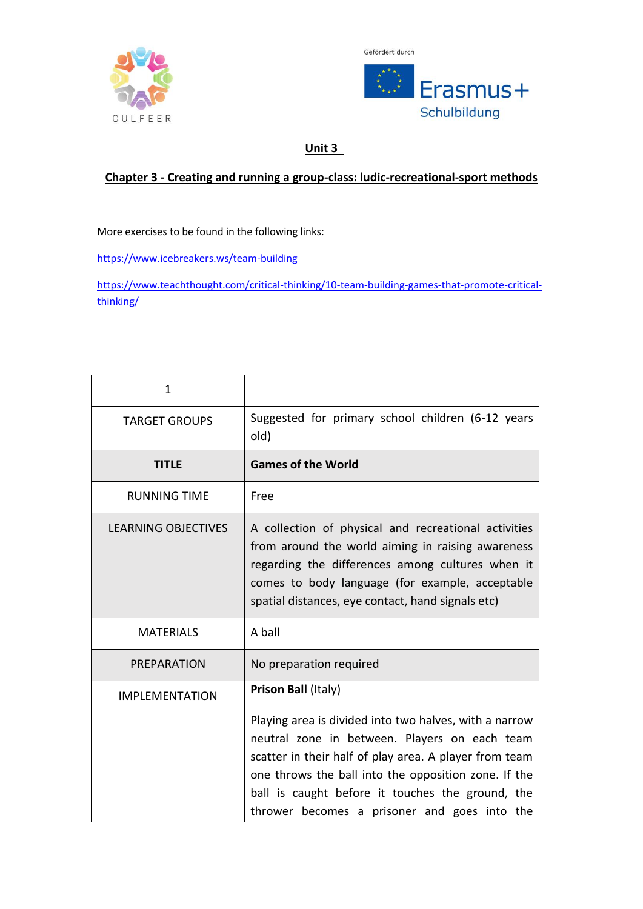



## **Unit 3**

## **Chapter 3 - Creating and running a group-class: ludic-recreational-sport methods**

More exercises to be found in the following links:

<https://www.icebreakers.ws/team-building>

[https://www.teachthought.com/critical-thinking/10-team-building-games-that-promote-critical](https://www.teachthought.com/critical-thinking/10-team-building-games-that-promote-critical-thinking/)[thinking/](https://www.teachthought.com/critical-thinking/10-team-building-games-that-promote-critical-thinking/)

| 1                          |                                                                                                                                                                                                                                                                                                                                                      |
|----------------------------|------------------------------------------------------------------------------------------------------------------------------------------------------------------------------------------------------------------------------------------------------------------------------------------------------------------------------------------------------|
| <b>TARGET GROUPS</b>       | Suggested for primary school children (6-12 years<br>old)                                                                                                                                                                                                                                                                                            |
| <b>TITLE</b>               | <b>Games of the World</b>                                                                                                                                                                                                                                                                                                                            |
| <b>RUNNING TIME</b>        | Free                                                                                                                                                                                                                                                                                                                                                 |
| <b>LEARNING OBJECTIVES</b> | A collection of physical and recreational activities<br>from around the world aiming in raising awareness<br>regarding the differences among cultures when it<br>comes to body language (for example, acceptable<br>spatial distances, eye contact, hand signals etc)                                                                                |
| <b>MATERIALS</b>           | A ball                                                                                                                                                                                                                                                                                                                                               |
| <b>PREPARATION</b>         | No preparation required                                                                                                                                                                                                                                                                                                                              |
| <b>IMPLEMENTATION</b>      | Prison Ball (Italy)<br>Playing area is divided into two halves, with a narrow<br>neutral zone in between. Players on each team<br>scatter in their half of play area. A player from team<br>one throws the ball into the opposition zone. If the<br>ball is caught before it touches the ground, the<br>thrower becomes a prisoner and goes into the |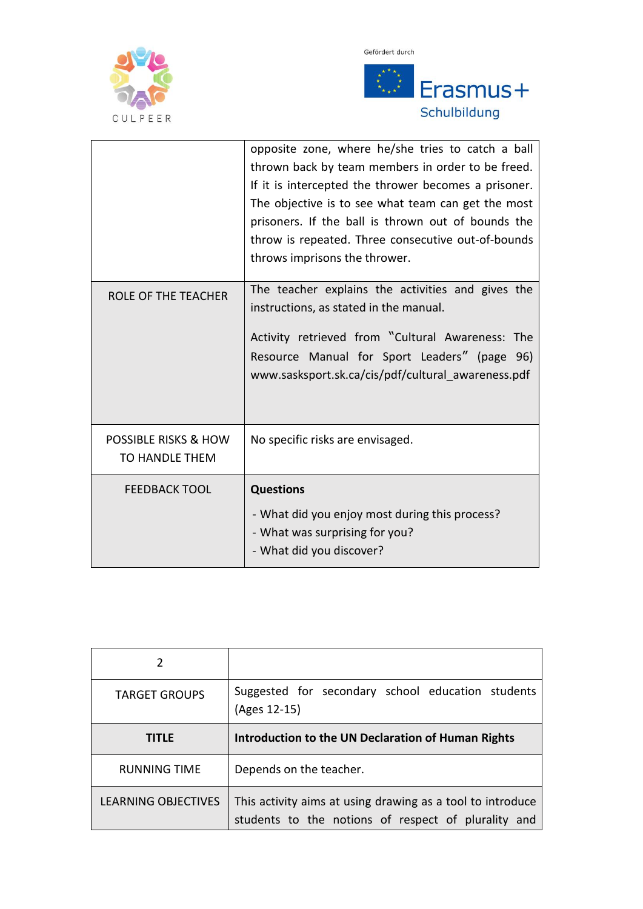





|                                        | opposite zone, where he/she tries to catch a ball<br>thrown back by team members in order to be freed.<br>If it is intercepted the thrower becomes a prisoner.<br>The objective is to see what team can get the most<br>prisoners. If the ball is thrown out of bounds the<br>throw is repeated. Three consecutive out-of-bounds<br>throws imprisons the thrower. |
|----------------------------------------|-------------------------------------------------------------------------------------------------------------------------------------------------------------------------------------------------------------------------------------------------------------------------------------------------------------------------------------------------------------------|
| <b>ROLE OF THE TEACHER</b>             | The teacher explains the activities and gives the<br>instructions, as stated in the manual.<br>Activity retrieved from "Cultural Awareness: The<br>Resource Manual for Sport Leaders" (page 96)<br>www.sasksport.sk.ca/cis/pdf/cultural awareness.pdf                                                                                                             |
| POSSIBLE RISKS & HOW<br>TO HANDLE THEM | No specific risks are envisaged.                                                                                                                                                                                                                                                                                                                                  |
| <b>FEEDBACK TOOL</b>                   | <b>Questions</b><br>- What did you enjoy most during this process?<br>- What was surprising for you?<br>- What did you discover?                                                                                                                                                                                                                                  |

| <b>TARGET GROUPS</b>       | Suggested for secondary school education students<br>(Ages 12-15)                                                 |
|----------------------------|-------------------------------------------------------------------------------------------------------------------|
| <b>TITLE</b>               | Introduction to the UN Declaration of Human Rights                                                                |
| <b>RUNNING TIME</b>        | Depends on the teacher.                                                                                           |
| <b>LEARNING OBJECTIVES</b> | This activity aims at using drawing as a tool to introduce<br>students to the notions of respect of plurality and |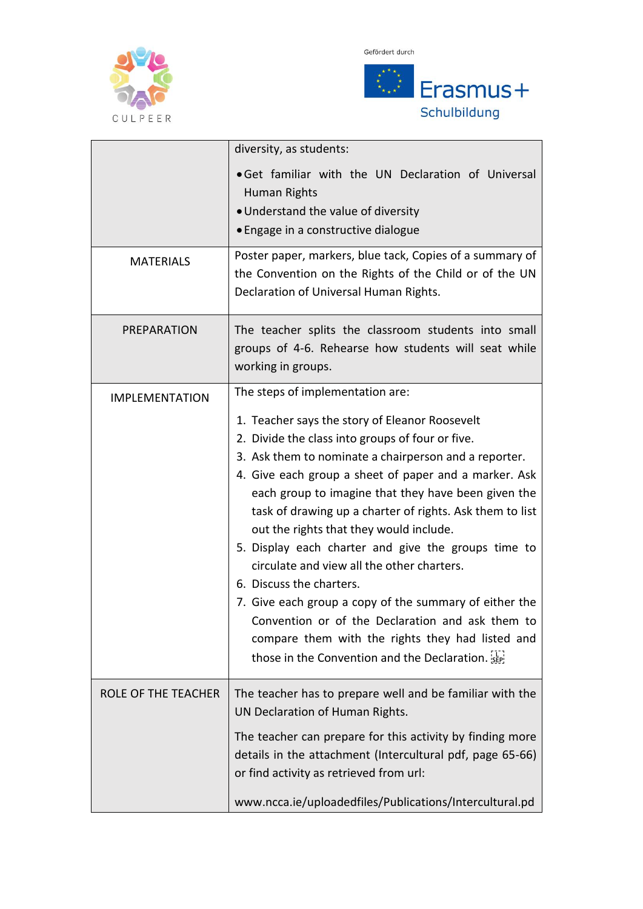

Gefördert durch



|                       | diversity, as students:                                                                                                                                                                                                                                                                                                                                                                                                                                                                                                                                                                                                                                                                                                               |
|-----------------------|---------------------------------------------------------------------------------------------------------------------------------------------------------------------------------------------------------------------------------------------------------------------------------------------------------------------------------------------------------------------------------------------------------------------------------------------------------------------------------------------------------------------------------------------------------------------------------------------------------------------------------------------------------------------------------------------------------------------------------------|
|                       | .Get familiar with the UN Declaration of Universal<br>Human Rights<br>• Understand the value of diversity<br>• Engage in a constructive dialogue                                                                                                                                                                                                                                                                                                                                                                                                                                                                                                                                                                                      |
|                       | Poster paper, markers, blue tack, Copies of a summary of                                                                                                                                                                                                                                                                                                                                                                                                                                                                                                                                                                                                                                                                              |
| <b>MATERIALS</b>      | the Convention on the Rights of the Child or of the UN<br>Declaration of Universal Human Rights.                                                                                                                                                                                                                                                                                                                                                                                                                                                                                                                                                                                                                                      |
| PREPARATION           | The teacher splits the classroom students into small<br>groups of 4-6. Rehearse how students will seat while<br>working in groups.                                                                                                                                                                                                                                                                                                                                                                                                                                                                                                                                                                                                    |
| <b>IMPLEMENTATION</b> | The steps of implementation are:                                                                                                                                                                                                                                                                                                                                                                                                                                                                                                                                                                                                                                                                                                      |
|                       | 1. Teacher says the story of Eleanor Roosevelt<br>2. Divide the class into groups of four or five.<br>3. Ask them to nominate a chairperson and a reporter.<br>4. Give each group a sheet of paper and a marker. Ask<br>each group to imagine that they have been given the<br>task of drawing up a charter of rights. Ask them to list<br>out the rights that they would include.<br>5. Display each charter and give the groups time to<br>circulate and view all the other charters.<br>6. Discuss the charters.<br>7. Give each group a copy of the summary of either the<br>Convention or of the Declaration and ask them to<br>compare them with the rights they had listed and<br>those in the Convention and the Declaration. |
| ROLE OF THE TEACHER   | The teacher has to prepare well and be familiar with the<br>UN Declaration of Human Rights.<br>The teacher can prepare for this activity by finding more<br>details in the attachment (Intercultural pdf, page 65-66)<br>or find activity as retrieved from url:                                                                                                                                                                                                                                                                                                                                                                                                                                                                      |
|                       | www.ncca.ie/uploadedfiles/Publications/Intercultural.pd                                                                                                                                                                                                                                                                                                                                                                                                                                                                                                                                                                                                                                                                               |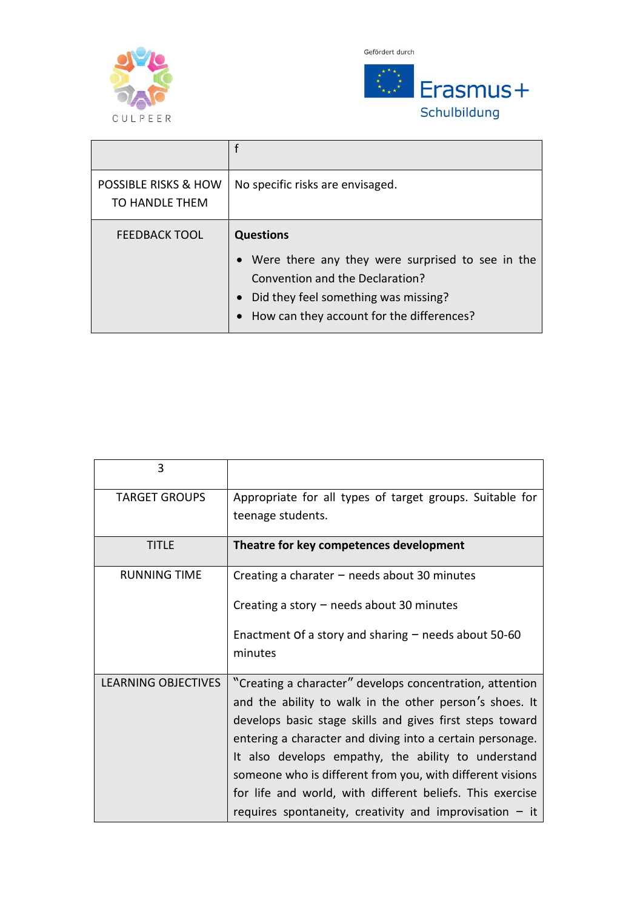





| <b>POSSIBLE RISKS &amp; HOW</b><br>TO HANDLE THEM | No specific risks are envisaged.                                                                                                                                           |
|---------------------------------------------------|----------------------------------------------------------------------------------------------------------------------------------------------------------------------------|
| <b>FEEDBACK TOOL</b>                              | <b>Questions</b>                                                                                                                                                           |
|                                                   | • Were there any they were surprised to see in the<br>Convention and the Declaration?<br>Did they feel something was missing?<br>How can they account for the differences? |

| 3                    |                                                           |
|----------------------|-----------------------------------------------------------|
| <b>TARGET GROUPS</b> | Appropriate for all types of target groups. Suitable for  |
|                      | teenage students.                                         |
| <b>TITLE</b>         | Theatre for key competences development                   |
| <b>RUNNING TIME</b>  | Creating a charater - needs about 30 minutes              |
|                      | Creating a story $-$ needs about 30 minutes               |
|                      | Enactment Of a story and sharing $-$ needs about 50-60    |
|                      | minutes                                                   |
| LEARNING OBJECTIVES  | "Creating a character" develops concentration, attention  |
|                      | and the ability to walk in the other person's shoes. It   |
|                      | develops basic stage skills and gives first steps toward  |
|                      | entering a character and diving into a certain personage. |
|                      | It also develops empathy, the ability to understand       |
|                      | someone who is different from you, with different visions |
|                      | for life and world, with different beliefs. This exercise |
|                      | requires spontaneity, creativity and improvisation $-$ it |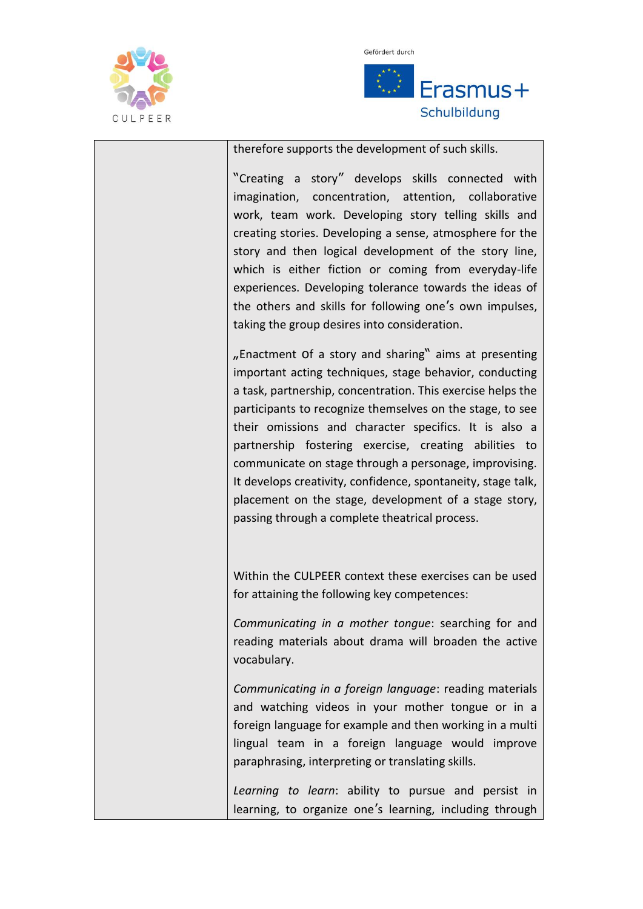





therefore supports the development of such skills.

"Creating a story" develops skills connected with imagination, concentration, attention, collaborative work, team work. Developing story telling skills and creating stories. Developing a sense, atmosphere for the story and then logical development of the story line, which is either fiction or coming from everyday-life experiences. Developing tolerance towards the ideas of the others and skills for following one's own impulses, taking the group desires into consideration.

"Enactment Of a story and sharing" aims at presenting important acting techniques, stage behavior, conducting a task, partnership, concentration. This exercise helps the participants to recognize themselves on the stage, to see their omissions and character specifics. It is also a partnership fostering exercise, creating abilities to communicate on stage through a personage, improvising. It develops creativity, confidence, spontaneity, stage talk, placement on the stage, development of a stage story, passing through a complete theatrical process.

Within the CULPEER context these exercises can be used for attaining the following key competences:

*Communicating in a mother tongue*: searching for and reading materials about drama will broaden the active vocabulary.

*Communicating in a foreign language*: reading materials and watching videos in your mother tongue or in a foreign language for example and then working in a multi lingual team in a foreign language would improve paraphrasing, interpreting or translating skills.

*Learning to learn*: ability to pursue and persist in learning, to organize one's learning, including through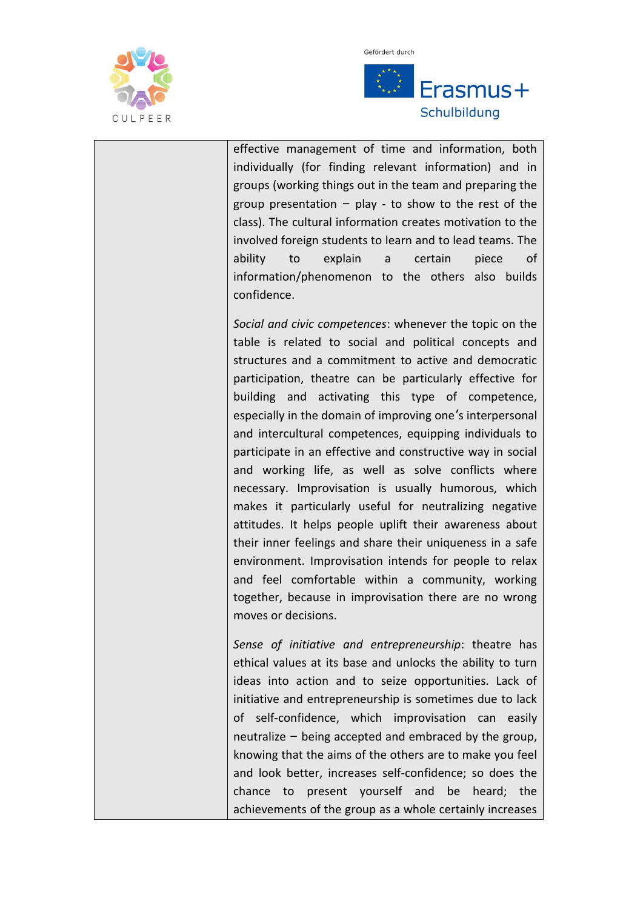





effective management of time and information, both individually (for finding relevant information) and in groups (working things out in the team and preparing the group presentation  $-$  play - to show to the rest of the class). The cultural information creates motivation to the involved foreign students to learn and to lead teams. The ability to explain a certain piece of information/phenomenon to the others also builds confidence.

*Social and civic competences*: whenever the topic on the table is related to social and political concepts and structures and a commitment to active and democratic participation, theatre can be particularly effective for building and activating this type of competence, especially in the domain of improving one's interpersonal and intercultural competences, equipping individuals to participate in an effective and constructive way in social and working life, as well as solve conflicts where necessary. Improvisation is usually humorous, which makes it particularly useful for neutralizing negative attitudes. It helps people uplift their awareness about their inner feelings and share their uniqueness in a safe environment. Improvisation intends for people to relax and feel comfortable within a community, working together, because in improvisation there are no wrong moves or decisions.

*Sense of initiative and entrepreneurship*: theatre has ethical values at its base and unlocks the ability to turn ideas into action and to seize opportunities. Lack of initiative and entrepreneurship is sometimes due to lack of self-confidence, which improvisation can easily neutralize – being accepted and embraced by the group, knowing that the aims of the others are to make you feel and look better, increases self-confidence; so does the chance to present yourself and be heard; the achievements of the group as a whole certainly increases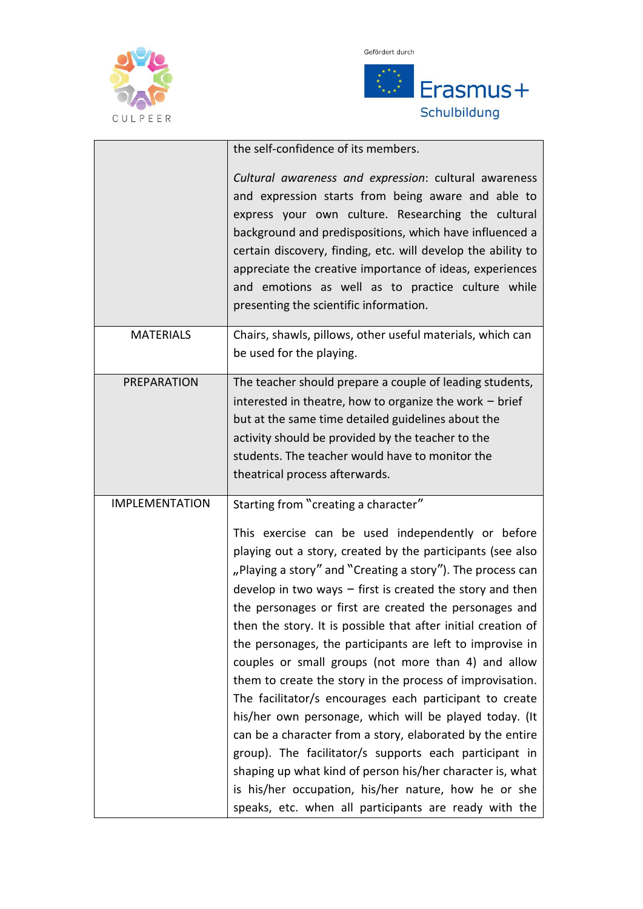

÷.





| the self-confidence of its members.                                                                                                                                                                                                                                                                                                                                                                                                                                                                                                                                                                                                                                                                                                                                                                                                                                                                                                                                                                                        |
|----------------------------------------------------------------------------------------------------------------------------------------------------------------------------------------------------------------------------------------------------------------------------------------------------------------------------------------------------------------------------------------------------------------------------------------------------------------------------------------------------------------------------------------------------------------------------------------------------------------------------------------------------------------------------------------------------------------------------------------------------------------------------------------------------------------------------------------------------------------------------------------------------------------------------------------------------------------------------------------------------------------------------|
| Cultural awareness and expression: cultural awareness<br>and expression starts from being aware and able to<br>express your own culture. Researching the cultural<br>background and predispositions, which have influenced a<br>certain discovery, finding, etc. will develop the ability to<br>appreciate the creative importance of ideas, experiences<br>and emotions as well as to practice culture while<br>presenting the scientific information.                                                                                                                                                                                                                                                                                                                                                                                                                                                                                                                                                                    |
| Chairs, shawls, pillows, other useful materials, which can<br>be used for the playing.                                                                                                                                                                                                                                                                                                                                                                                                                                                                                                                                                                                                                                                                                                                                                                                                                                                                                                                                     |
| The teacher should prepare a couple of leading students,<br>interested in theatre, how to organize the work $-$ brief<br>but at the same time detailed guidelines about the<br>activity should be provided by the teacher to the<br>students. The teacher would have to monitor the<br>theatrical process afterwards.                                                                                                                                                                                                                                                                                                                                                                                                                                                                                                                                                                                                                                                                                                      |
| Starting from "creating a character"<br>This exercise can be used independently or before<br>playing out a story, created by the participants (see also<br>"Playing a story" and "Creating a story"). The process can<br>develop in two ways $-$ first is created the story and then<br>the personages or first are created the personages and<br>then the story. It is possible that after initial creation of<br>the personages, the participants are left to improvise in<br>couples or small groups (not more than 4) and allow<br>them to create the story in the process of improvisation.<br>The facilitator/s encourages each participant to create<br>his/her own personage, which will be played today. (It<br>can be a character from a story, elaborated by the entire<br>group). The facilitator/s supports each participant in<br>shaping up what kind of person his/her character is, what<br>is his/her occupation, his/her nature, how he or she<br>speaks, etc. when all participants are ready with the |
|                                                                                                                                                                                                                                                                                                                                                                                                                                                                                                                                                                                                                                                                                                                                                                                                                                                                                                                                                                                                                            |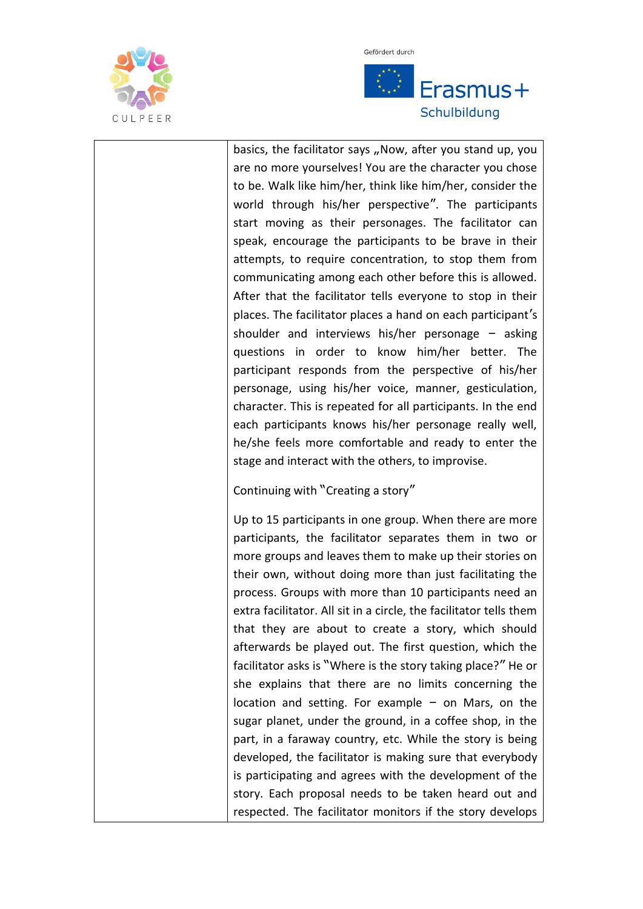





basics, the facilitator says "Now, after you stand up, you are no more yourselves! You are the character you chose to be. Walk like him/her, think like him/her, consider the world through his/her perspective". The participants start moving as their personages. The facilitator can speak, encourage the participants to be brave in their attempts, to require concentration, to stop them from communicating among each other before this is allowed. After that the facilitator tells everyone to stop in their places. The facilitator places a hand on each participant's shoulder and interviews his/her personage – asking questions in order to know him/her better. The participant responds from the perspective of his/her personage, using his/her voice, manner, gesticulation, character. This is repeated for all participants. In the end each participants knows his/her personage really well, he/she feels more comfortable and ready to enter the stage and interact with the others, to improvise.

Continuing with "Creating a story"

Up to 15 participants in one group. When there are more participants, the facilitator separates them in two or more groups and leaves them to make up their stories on their own, without doing more than just facilitating the process. Groups with more than 10 participants need an extra facilitator. All sit in a circle, the facilitator tells them that they are about to create a story, which should afterwards be played out. The first question, which the facilitator asks is "Where is the story taking place?" He or she explains that there are no limits concerning the location and setting. For example  $-$  on Mars, on the sugar planet, under the ground, in a coffee shop, in the part, in a faraway country, etc. While the story is being developed, the facilitator is making sure that everybody is participating and agrees with the development of the story. Each proposal needs to be taken heard out and respected. The facilitator monitors if the story develops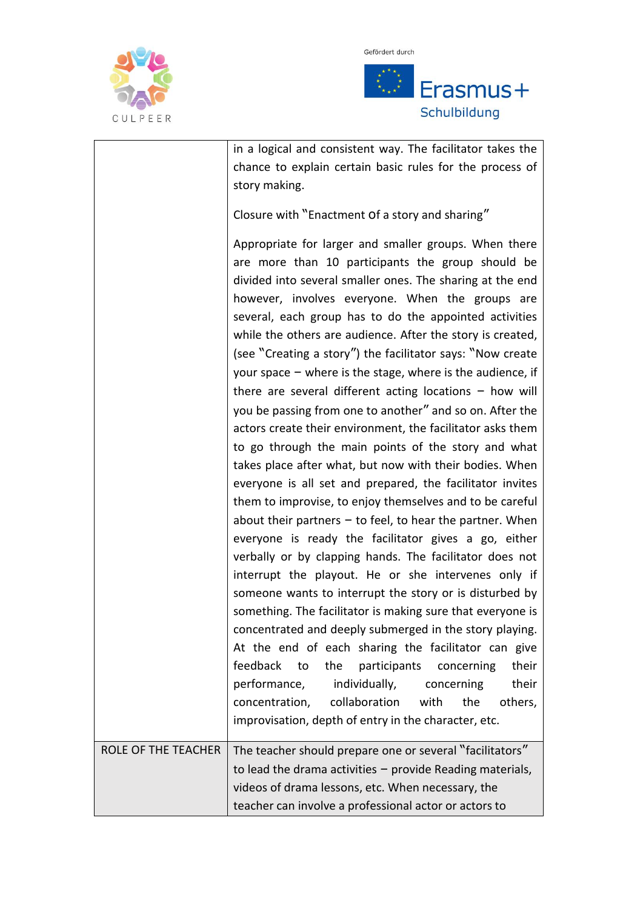





in a logical and consistent way. The facilitator takes the chance to explain certain basic rules for the process of story making.

Closure with "Enactment оf a story and sharing"

Appropriate for larger and smaller groups. When there are more than 10 participants the group should be divided into several smaller ones. The sharing at the end however, involves everyone. When the groups are several, each group has to do the appointed activities while the others are audience. After the story is created, (see "Creating a story") the facilitator says: "Now create your space – where is the stage, where is the audience, if there are several different acting locations  $-$  how will you be passing from one to another" and so on. After the actors create their environment, the facilitator asks them to go through the main points of the story and what takes place after what, but now with their bodies. When everyone is all set and prepared, the facilitator invites them to improvise, to enjoy themselves and to be careful about their partners  $-$  to feel, to hear the partner. When everyone is ready the facilitator gives a go, either verbally or by clapping hands. The facilitator does not interrupt the playout. He or she intervenes only if someone wants to interrupt the story or is disturbed by something. The facilitator is making sure that everyone is concentrated and deeply submerged in the story playing. At the end of each sharing the facilitator can give feedback to the participants concerning their performance, individually, concerning their concentration, collaboration with the others, improvisation, depth of entry in the character, etc. ROLE OF THE TEACHER The teacher should prepare one or several "facilitators" to lead the drama activities – provide Reading materials, videos of drama lessons, etc. When necessary, the

teacher can involve a professional actor or actors to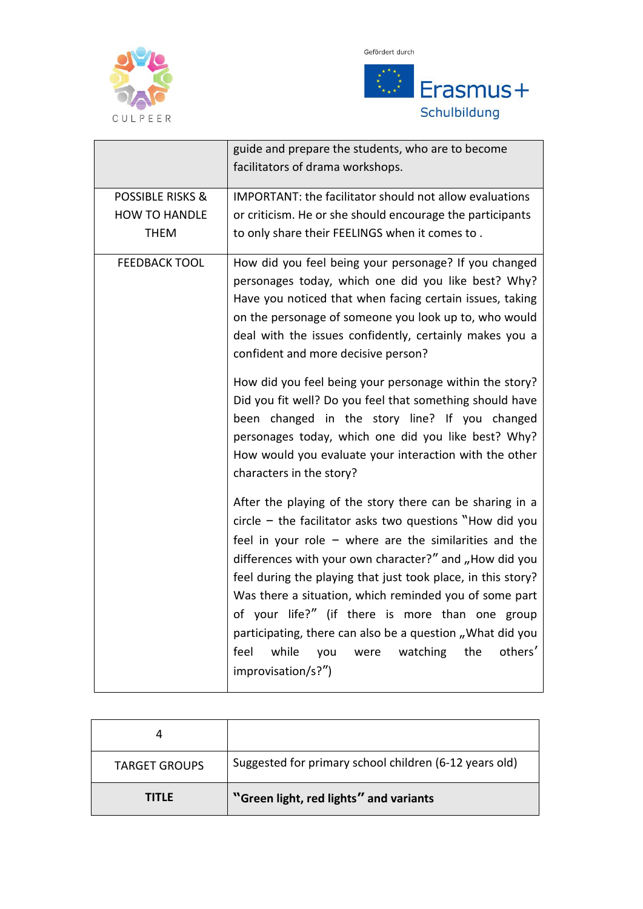





|                             | guide and prepare the students, who are to become                                                                                                                                                                                                                                                                  |
|-----------------------------|--------------------------------------------------------------------------------------------------------------------------------------------------------------------------------------------------------------------------------------------------------------------------------------------------------------------|
|                             | facilitators of drama workshops.                                                                                                                                                                                                                                                                                   |
| <b>POSSIBLE RISKS &amp;</b> | <b>IMPORTANT: the facilitator should not allow evaluations</b>                                                                                                                                                                                                                                                     |
| <b>HOW TO HANDLE</b>        | or criticism. He or she should encourage the participants                                                                                                                                                                                                                                                          |
| <b>THEM</b>                 | to only share their FEELINGS when it comes to.                                                                                                                                                                                                                                                                     |
| <b>FEEDBACK TOOL</b>        | How did you feel being your personage? If you changed                                                                                                                                                                                                                                                              |
|                             | personages today, which one did you like best? Why?                                                                                                                                                                                                                                                                |
|                             | Have you noticed that when facing certain issues, taking                                                                                                                                                                                                                                                           |
|                             | on the personage of someone you look up to, who would                                                                                                                                                                                                                                                              |
|                             | deal with the issues confidently, certainly makes you a                                                                                                                                                                                                                                                            |
|                             | confident and more decisive person?                                                                                                                                                                                                                                                                                |
|                             | How did you feel being your personage within the story?<br>Did you fit well? Do you feel that something should have<br>been changed in the story line? If you changed<br>personages today, which one did you like best? Why?<br>How would you evaluate your interaction with the other<br>characters in the story? |
|                             | After the playing of the story there can be sharing in a                                                                                                                                                                                                                                                           |
|                             | $circle$ – the facilitator asks two questions "How did you                                                                                                                                                                                                                                                         |
|                             | feel in your role $-$ where are the similarities and the                                                                                                                                                                                                                                                           |
|                             | differences with your own character?" and "How did you                                                                                                                                                                                                                                                             |
|                             | feel during the playing that just took place, in this story?                                                                                                                                                                                                                                                       |
|                             | Was there a situation, which reminded you of some part                                                                                                                                                                                                                                                             |
|                             | of your life?" (if there is more than one group                                                                                                                                                                                                                                                                    |
|                             | participating, there can also be a question "What did you                                                                                                                                                                                                                                                          |
|                             | others'<br>while<br>feel<br>watching<br>the<br>you<br>were                                                                                                                                                                                                                                                         |
|                             | improvisation/s?")                                                                                                                                                                                                                                                                                                 |

| <b>TARGET GROUPS</b> | Suggested for primary school children (6-12 years old) |
|----------------------|--------------------------------------------------------|
| <b>TITLE</b>         | "Green light, red lights" and variants                 |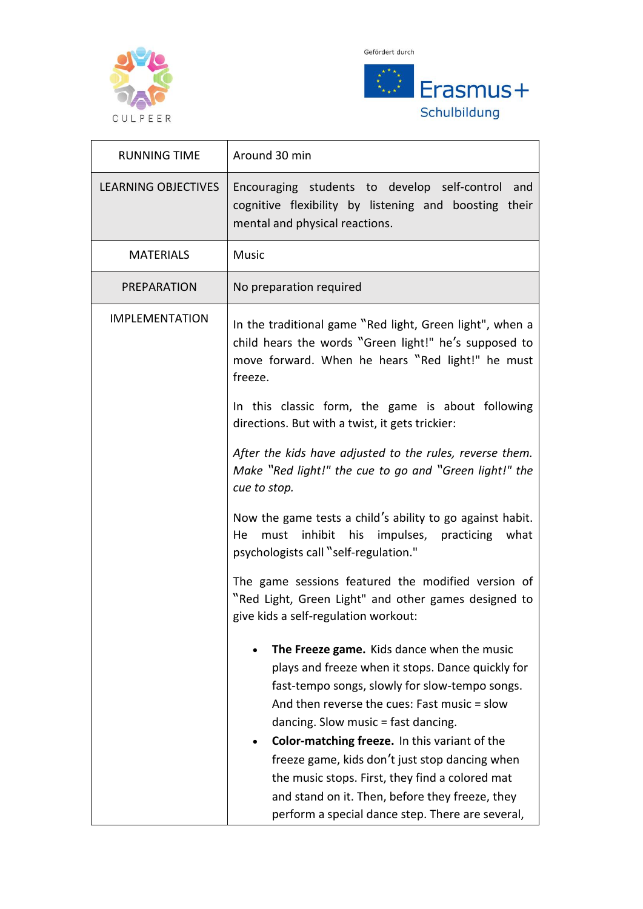

 $\mathbf{r}$ 





۳

| <b>RUNNING TIME</b>        | Around 30 min                                                                                                                                                                                                                                                                                                                                                                                                                                                                                                                                                                                                                                                                                                      |
|----------------------------|--------------------------------------------------------------------------------------------------------------------------------------------------------------------------------------------------------------------------------------------------------------------------------------------------------------------------------------------------------------------------------------------------------------------------------------------------------------------------------------------------------------------------------------------------------------------------------------------------------------------------------------------------------------------------------------------------------------------|
| <b>LEARNING OBJECTIVES</b> | Encouraging students to develop self-control and<br>cognitive flexibility by listening and boosting their<br>mental and physical reactions.                                                                                                                                                                                                                                                                                                                                                                                                                                                                                                                                                                        |
| <b>MATERIALS</b>           | <b>Music</b>                                                                                                                                                                                                                                                                                                                                                                                                                                                                                                                                                                                                                                                                                                       |
| PREPARATION                | No preparation required                                                                                                                                                                                                                                                                                                                                                                                                                                                                                                                                                                                                                                                                                            |
| <b>IMPLEMENTATION</b>      | In the traditional game "Red light, Green light", when a<br>child hears the words "Green light!" he's supposed to<br>move forward. When he hears "Red light!" he must<br>freeze.<br>In this classic form, the game is about following<br>directions. But with a twist, it gets trickier:<br>After the kids have adjusted to the rules, reverse them.<br>Make "Red light!" the cue to go and "Green light!" the<br>cue to stop.<br>Now the game tests a child's ability to go against habit.<br>inhibit<br>his<br>impulses, practicing<br>must<br>what<br>He<br>psychologists call "self-regulation."<br>The game sessions featured the modified version of<br>"Red Light, Green Light" and other games designed to |
|                            | give kids a self-regulation workout:<br>The Freeze game. Kids dance when the music<br>plays and freeze when it stops. Dance quickly for<br>fast-tempo songs, slowly for slow-tempo songs.<br>And then reverse the cues: Fast music = slow<br>dancing. Slow music = fast dancing.<br>Color-matching freeze. In this variant of the<br>freeze game, kids don't just stop dancing when<br>the music stops. First, they find a colored mat<br>and stand on it. Then, before they freeze, they<br>perform a special dance step. There are several,                                                                                                                                                                      |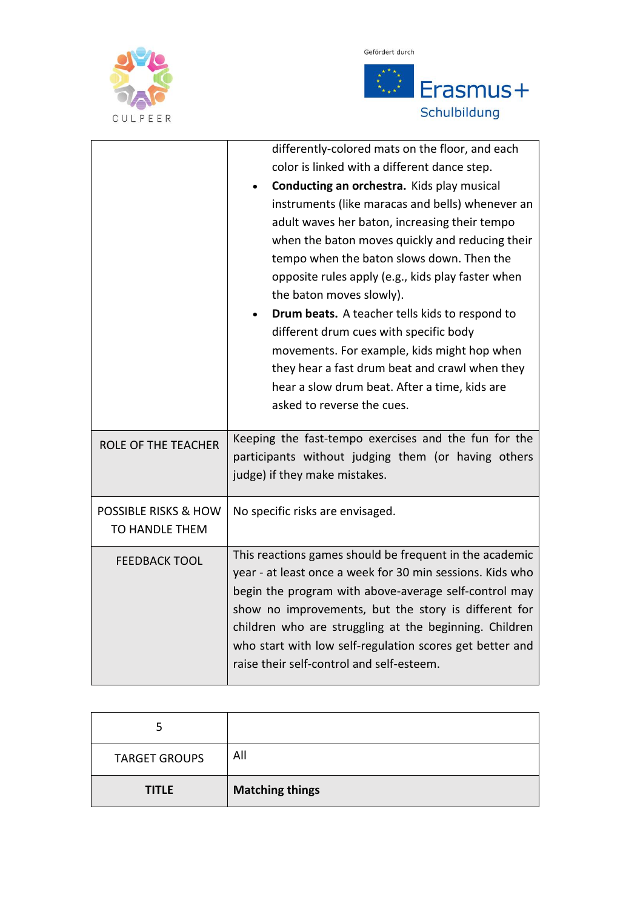





|                                                   | differently-colored mats on the floor, and each<br>color is linked with a different dance step.<br>Conducting an orchestra. Kids play musical<br>instruments (like maracas and bells) whenever an<br>adult waves her baton, increasing their tempo<br>when the baton moves quickly and reducing their<br>tempo when the baton slows down. Then the<br>opposite rules apply (e.g., kids play faster when<br>the baton moves slowly).<br>Drum beats. A teacher tells kids to respond to<br>different drum cues with specific body<br>movements. For example, kids might hop when<br>they hear a fast drum beat and crawl when they<br>hear a slow drum beat. After a time, kids are<br>asked to reverse the cues. |
|---------------------------------------------------|-----------------------------------------------------------------------------------------------------------------------------------------------------------------------------------------------------------------------------------------------------------------------------------------------------------------------------------------------------------------------------------------------------------------------------------------------------------------------------------------------------------------------------------------------------------------------------------------------------------------------------------------------------------------------------------------------------------------|
| <b>ROLE OF THE TEACHER</b>                        | Keeping the fast-tempo exercises and the fun for the<br>participants without judging them (or having others<br>judge) if they make mistakes.                                                                                                                                                                                                                                                                                                                                                                                                                                                                                                                                                                    |
| <b>POSSIBLE RISKS &amp; HOW</b><br>TO HANDLE THEM | No specific risks are envisaged.                                                                                                                                                                                                                                                                                                                                                                                                                                                                                                                                                                                                                                                                                |
| <b>FEEDBACK TOOL</b>                              | This reactions games should be frequent in the academic<br>year - at least once a week for 30 min sessions. Kids who<br>begin the program with above-average self-control may<br>show no improvements, but the story is different for<br>children who are struggling at the beginning. Children<br>who start with low self-regulation scores get better and<br>raise their self-control and self-esteem.                                                                                                                                                                                                                                                                                                        |

| <b>TARGET GROUPS</b> | All                    |
|----------------------|------------------------|
| <b>TITLE</b>         | <b>Matching things</b> |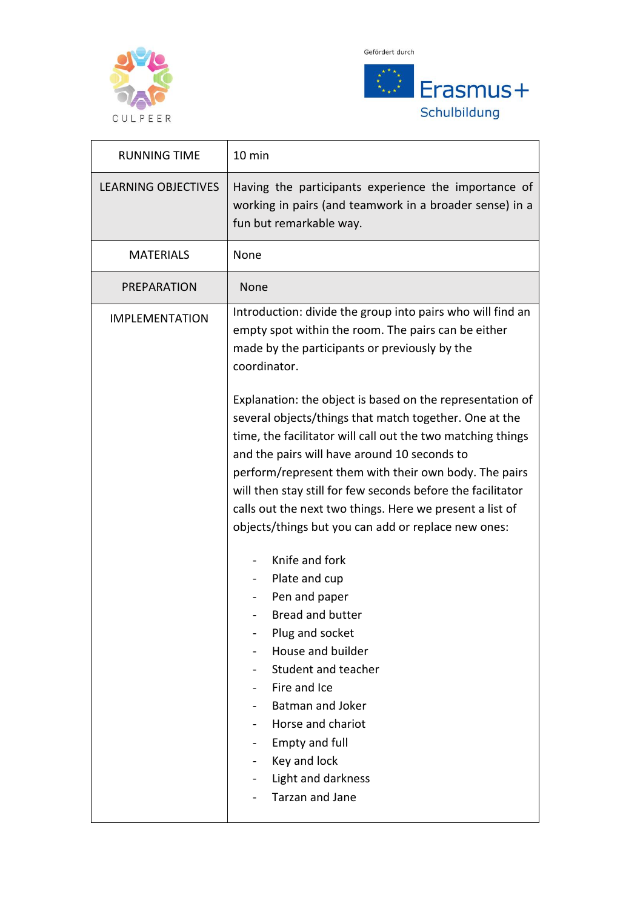





|  | <b>RUNNING TIME</b>        | 10 min                                                                                                                                                                                                                                                                                                                                                                                                                                                                                                                                                                                                                                                                                                                                                                                                                                                                                                                                                       |
|--|----------------------------|--------------------------------------------------------------------------------------------------------------------------------------------------------------------------------------------------------------------------------------------------------------------------------------------------------------------------------------------------------------------------------------------------------------------------------------------------------------------------------------------------------------------------------------------------------------------------------------------------------------------------------------------------------------------------------------------------------------------------------------------------------------------------------------------------------------------------------------------------------------------------------------------------------------------------------------------------------------|
|  | <b>LEARNING OBJECTIVES</b> | Having the participants experience the importance of<br>working in pairs (and teamwork in a broader sense) in a<br>fun but remarkable way.                                                                                                                                                                                                                                                                                                                                                                                                                                                                                                                                                                                                                                                                                                                                                                                                                   |
|  | <b>MATERIALS</b>           | None                                                                                                                                                                                                                                                                                                                                                                                                                                                                                                                                                                                                                                                                                                                                                                                                                                                                                                                                                         |
|  | PREPARATION                | None                                                                                                                                                                                                                                                                                                                                                                                                                                                                                                                                                                                                                                                                                                                                                                                                                                                                                                                                                         |
|  | <b>IMPLEMENTATION</b>      | Introduction: divide the group into pairs who will find an<br>empty spot within the room. The pairs can be either<br>made by the participants or previously by the<br>coordinator.<br>Explanation: the object is based on the representation of<br>several objects/things that match together. One at the<br>time, the facilitator will call out the two matching things<br>and the pairs will have around 10 seconds to<br>perform/represent them with their own body. The pairs<br>will then stay still for few seconds before the facilitator<br>calls out the next two things. Here we present a list of<br>objects/things but you can add or replace new ones:<br>Knife and fork<br>Plate and cup<br>Pen and paper<br><b>Bread and butter</b><br>Plug and socket<br>House and builder<br>Student and teacher<br>Fire and Ice<br><b>Batman and Joker</b><br>Horse and chariot<br>Empty and full<br>Key and lock<br>Light and darkness<br>Tarzan and Jane |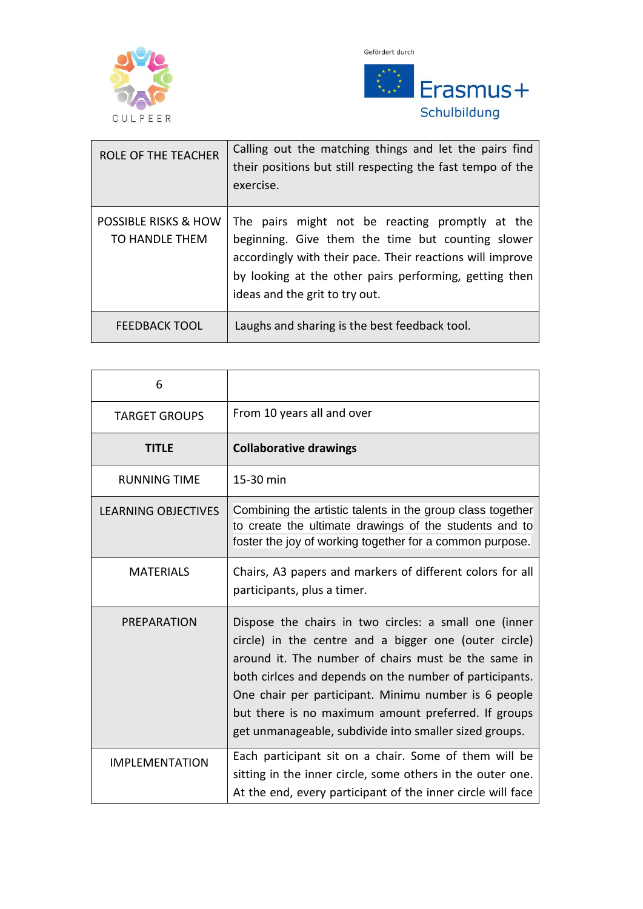





| <b>ROLE OF THE TEACHER</b>                        | Calling out the matching things and let the pairs find<br>their positions but still respecting the fast tempo of the<br>exercise.                                                                                                                             |
|---------------------------------------------------|---------------------------------------------------------------------------------------------------------------------------------------------------------------------------------------------------------------------------------------------------------------|
| <b>POSSIBLE RISKS &amp; HOW</b><br>TO HANDLE THEM | The pairs might not be reacting promptly at the<br>beginning. Give them the time but counting slower<br>accordingly with their pace. Their reactions will improve<br>by looking at the other pairs performing, getting then<br>ideas and the grit to try out. |
| <b>FEEDBACK TOOL</b>                              | Laughs and sharing is the best feedback tool.                                                                                                                                                                                                                 |

| 6                          |                                                                                                                                                                                                                                                                                                                                                                                                           |
|----------------------------|-----------------------------------------------------------------------------------------------------------------------------------------------------------------------------------------------------------------------------------------------------------------------------------------------------------------------------------------------------------------------------------------------------------|
| <b>TARGET GROUPS</b>       | From 10 years all and over                                                                                                                                                                                                                                                                                                                                                                                |
| <b>TITLE</b>               | <b>Collaborative drawings</b>                                                                                                                                                                                                                                                                                                                                                                             |
| <b>RUNNING TIME</b>        | 15-30 min                                                                                                                                                                                                                                                                                                                                                                                                 |
| <b>LEARNING OBJECTIVES</b> | Combining the artistic talents in the group class together<br>to create the ultimate drawings of the students and to<br>foster the joy of working together for a common purpose.                                                                                                                                                                                                                          |
| <b>MATERIALS</b>           | Chairs, A3 papers and markers of different colors for all<br>participants, plus a timer.                                                                                                                                                                                                                                                                                                                  |
| <b>PREPARATION</b>         | Dispose the chairs in two circles: a small one (inner<br>circle) in the centre and a bigger one (outer circle)<br>around it. The number of chairs must be the same in<br>both cirices and depends on the number of participants.<br>One chair per participant. Minimu number is 6 people<br>but there is no maximum amount preferred. If groups<br>get unmanageable, subdivide into smaller sized groups. |
| <b>IMPLEMENTATION</b>      | Each participant sit on a chair. Some of them will be<br>sitting in the inner circle, some others in the outer one.<br>At the end, every participant of the inner circle will face                                                                                                                                                                                                                        |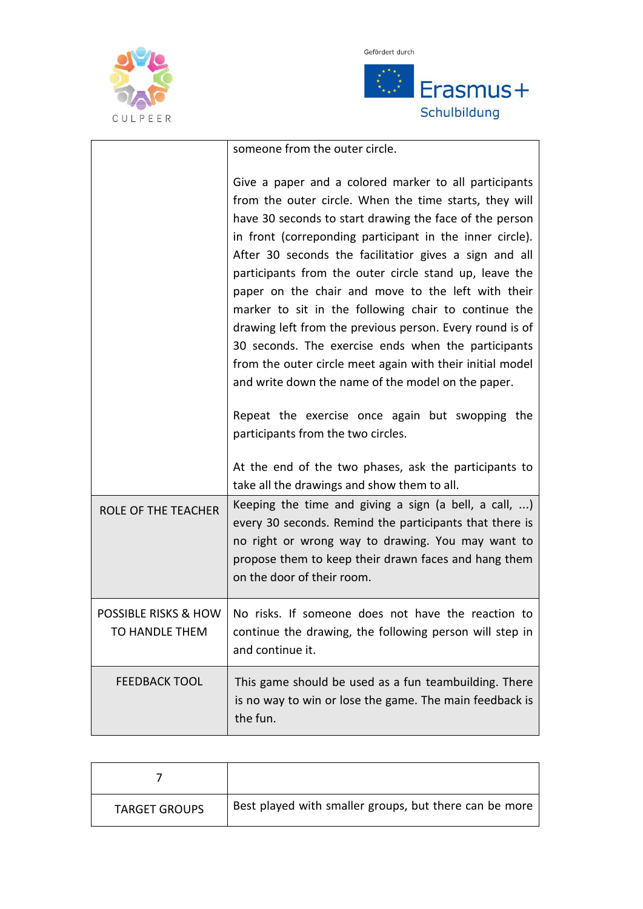





|                                                   | someone from the outer circle.                                                                                                                                                                                                                                                                                                                                                                                                                                                                                                                                                                                                                                                                                                                                                                          |
|---------------------------------------------------|---------------------------------------------------------------------------------------------------------------------------------------------------------------------------------------------------------------------------------------------------------------------------------------------------------------------------------------------------------------------------------------------------------------------------------------------------------------------------------------------------------------------------------------------------------------------------------------------------------------------------------------------------------------------------------------------------------------------------------------------------------------------------------------------------------|
|                                                   | Give a paper and a colored marker to all participants<br>from the outer circle. When the time starts, they will<br>have 30 seconds to start drawing the face of the person<br>in front (correponding participant in the inner circle).<br>After 30 seconds the facilitatior gives a sign and all<br>participants from the outer circle stand up, leave the<br>paper on the chair and move to the left with their<br>marker to sit in the following chair to continue the<br>drawing left from the previous person. Every round is of<br>30 seconds. The exercise ends when the participants<br>from the outer circle meet again with their initial model<br>and write down the name of the model on the paper.<br>Repeat the exercise once again but swopping the<br>participants from the two circles. |
|                                                   | At the end of the two phases, ask the participants to<br>take all the drawings and show them to all.                                                                                                                                                                                                                                                                                                                                                                                                                                                                                                                                                                                                                                                                                                    |
| <b>ROLE OF THE TEACHER</b>                        | Keeping the time and giving a sign (a bell, a call, )<br>every 30 seconds. Remind the participants that there is<br>no right or wrong way to drawing. You may want to<br>propose them to keep their drawn faces and hang them<br>on the door of their room.                                                                                                                                                                                                                                                                                                                                                                                                                                                                                                                                             |
| <b>POSSIBLE RISKS &amp; HOW</b><br>TO HANDLE THEM | No risks. If someone does not have the reaction to<br>continue the drawing, the following person will step in<br>and continue it.                                                                                                                                                                                                                                                                                                                                                                                                                                                                                                                                                                                                                                                                       |
| <b>FEEDBACK TOOL</b>                              | This game should be used as a fun teambuilding. There<br>is no way to win or lose the game. The main feedback is<br>the fun.                                                                                                                                                                                                                                                                                                                                                                                                                                                                                                                                                                                                                                                                            |

| <b>TARGET GROUPS</b> | Best played with smaller groups, but there can be more |
|----------------------|--------------------------------------------------------|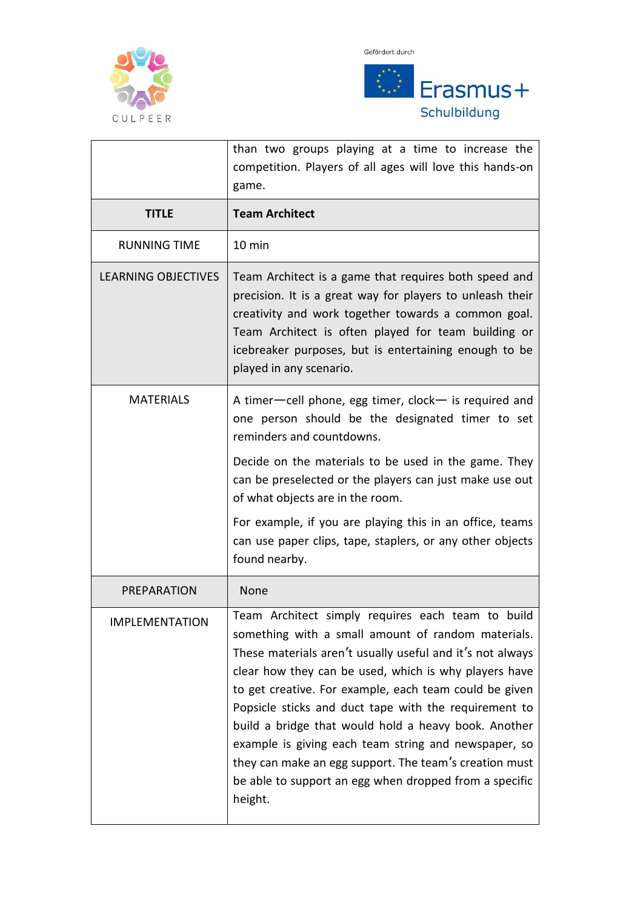





|                            | than two groups playing at a time to increase the<br>competition. Players of all ages will love this hands-on<br>game.                                                                                                                                                                                                                                                                                                                                                                                                                                                                          |
|----------------------------|-------------------------------------------------------------------------------------------------------------------------------------------------------------------------------------------------------------------------------------------------------------------------------------------------------------------------------------------------------------------------------------------------------------------------------------------------------------------------------------------------------------------------------------------------------------------------------------------------|
| <b>TITLE</b>               | <b>Team Architect</b>                                                                                                                                                                                                                                                                                                                                                                                                                                                                                                                                                                           |
| <b>RUNNING TIME</b>        | $10 \text{ min}$                                                                                                                                                                                                                                                                                                                                                                                                                                                                                                                                                                                |
| <b>LEARNING OBJECTIVES</b> | Team Architect is a game that requires both speed and<br>precision. It is a great way for players to unleash their<br>creativity and work together towards a common goal.<br>Team Architect is often played for team building or<br>icebreaker purposes, but is entertaining enough to be<br>played in any scenario.                                                                                                                                                                                                                                                                            |
| <b>MATERIALS</b>           | A timer—cell phone, egg timer, clock— is required and<br>one person should be the designated timer to set<br>reminders and countdowns.                                                                                                                                                                                                                                                                                                                                                                                                                                                          |
|                            | Decide on the materials to be used in the game. They<br>can be preselected or the players can just make use out<br>of what objects are in the room.                                                                                                                                                                                                                                                                                                                                                                                                                                             |
|                            | For example, if you are playing this in an office, teams<br>can use paper clips, tape, staplers, or any other objects<br>found nearby.                                                                                                                                                                                                                                                                                                                                                                                                                                                          |
| PREPARATION                | None                                                                                                                                                                                                                                                                                                                                                                                                                                                                                                                                                                                            |
| <b>IMPLEMENTATION</b>      | Team Architect simply requires each team to build<br>something with a small amount of random materials.<br>These materials aren't usually useful and it's not always<br>clear how they can be used, which is why players have<br>to get creative. For example, each team could be given<br>Popsicle sticks and duct tape with the requirement to<br>build a bridge that would hold a heavy book. Another<br>example is giving each team string and newspaper, so<br>they can make an egg support. The team's creation must<br>be able to support an egg when dropped from a specific<br>height. |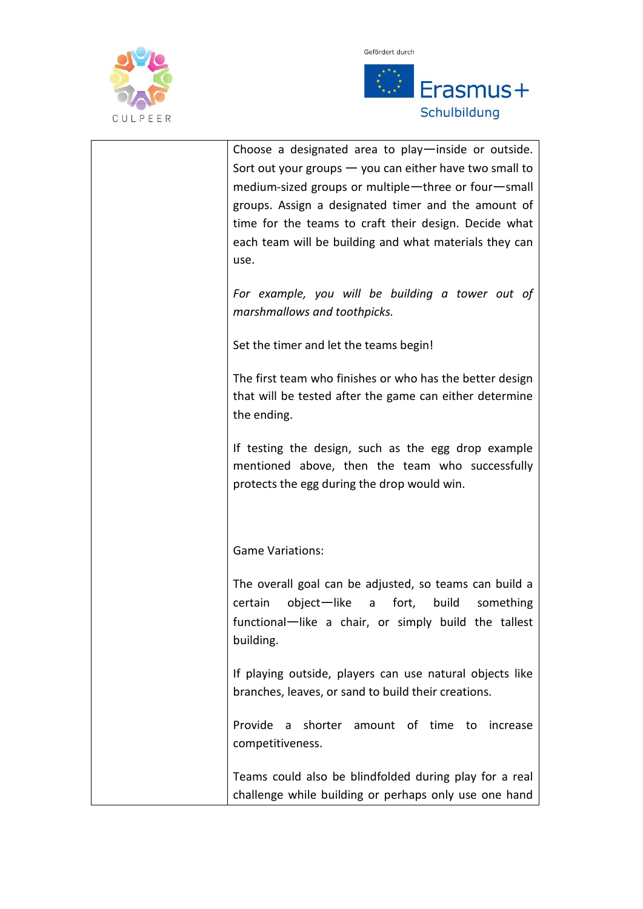





| Choose a designated area to play—inside or outside.<br>Sort out your groups $-$ you can either have two small to<br>medium-sized groups or multiple-three or four-small<br>groups. Assign a designated timer and the amount of<br>time for the teams to craft their design. Decide what<br>each team will be building and what materials they can<br>use. |
|-----------------------------------------------------------------------------------------------------------------------------------------------------------------------------------------------------------------------------------------------------------------------------------------------------------------------------------------------------------|
| For example, you will be building a tower out of<br>marshmallows and toothpicks.                                                                                                                                                                                                                                                                          |
| Set the timer and let the teams begin!                                                                                                                                                                                                                                                                                                                    |
| The first team who finishes or who has the better design<br>that will be tested after the game can either determine<br>the ending.                                                                                                                                                                                                                        |
| If testing the design, such as the egg drop example<br>mentioned above, then the team who successfully<br>protects the egg during the drop would win.                                                                                                                                                                                                     |
|                                                                                                                                                                                                                                                                                                                                                           |
| <b>Game Variations:</b>                                                                                                                                                                                                                                                                                                                                   |
| The overall goal can be adjusted, so teams can build a<br>object-like<br>fort,<br>build<br>certain<br>something<br>a<br>functional-like a chair, or simply build the tallest<br>building.                                                                                                                                                                 |
| If playing outside, players can use natural objects like<br>branches, leaves, or sand to build their creations.                                                                                                                                                                                                                                           |
| Provide<br>shorter<br>amount of time<br>a<br>to<br>increase<br>competitiveness.                                                                                                                                                                                                                                                                           |
| Teams could also be blindfolded during play for a real<br>challenge while building or perhaps only use one hand                                                                                                                                                                                                                                           |